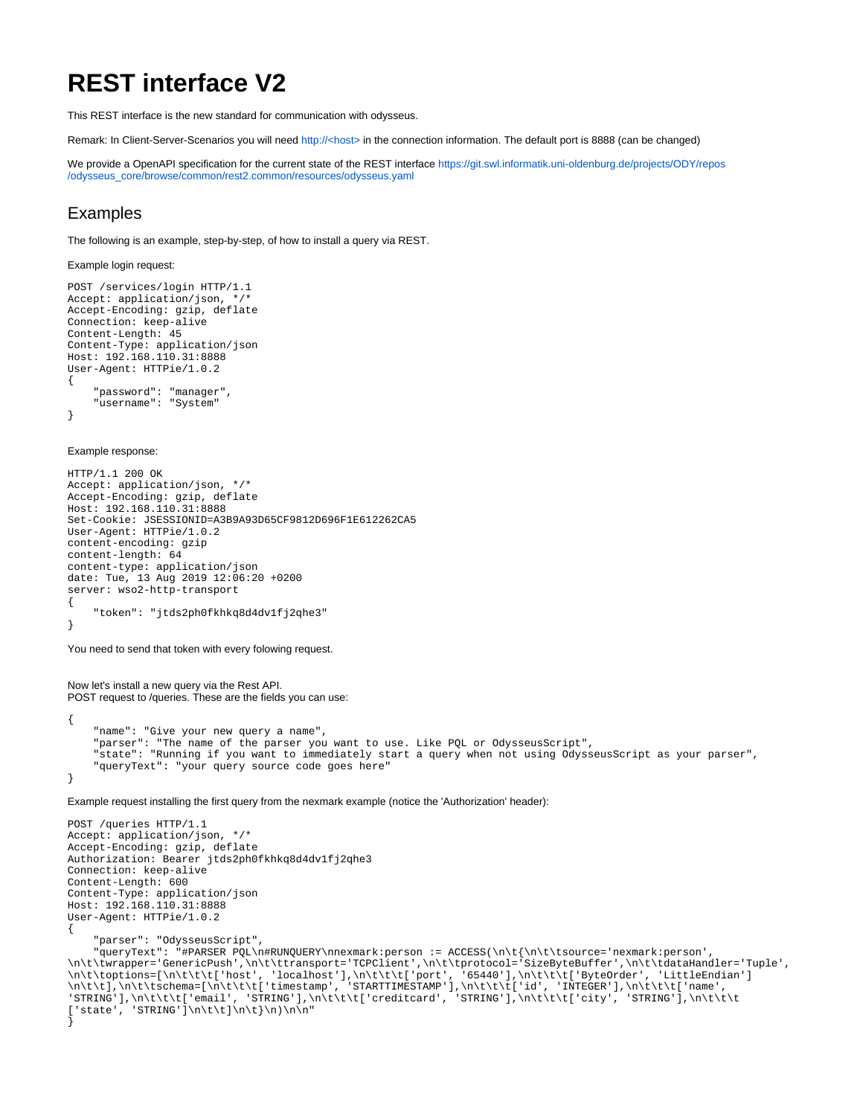# **REST interface V2**

This REST interface is the new standard for communication with odysseus.

Remark: In Client-Server-Scenarios you will need [http://<host>](http://localhost) in the connection information. The default port is 8888 (can be changed)

We provide a OpenAPI specification for the current state of the REST interface [https://git.swl.informatik.uni-oldenburg.de/projects/ODY/repos](https://git.swl.informatik.uni-oldenburg.de/projects/ODY/repos/odysseus_core/browse/common/rest2.common/resources/odysseus.yaml?at=refs%2Fheads%2Fdevelopment) [/odysseus\\_core/browse/common/rest2.common/resources/odysseus.yaml](https://git.swl.informatik.uni-oldenburg.de/projects/ODY/repos/odysseus_core/browse/common/rest2.common/resources/odysseus.yaml?at=refs%2Fheads%2Fdevelopment)

## Examples

The following is an example, step-by-step, of how to install a query via REST.

Example login request:

```
POST /services/login HTTP/1.1
Accept: application/json, */*
Accept-Encoding: gzip, deflate
Connection: keep-alive
Content-Length: 45
Content-Type: application/json
Host: 192.168.110.31:8888
User-Agent: HTTPie/1.0.2
{
     "password": "manager",
     "username": "System"
```
}

Example response:

```
HTTP/1.1 200 OK
Accept: application/json, */*
Accept-Encoding: gzip, deflate
Host: 192.168.110.31:8888
Set-Cookie: JSESSIONID=A3B9A93D65CF9812D696F1E612262CA5
User-Agent: HTTPie/1.0.2
content-encoding: gzip
content-length: 64
content-type: application/json
date: Tue, 13 Aug 2019 12:06:20 +0200
server: wso2-http-transport
{
     "token": "jtds2ph0fkhkq8d4dv1fj2qhe3"
}
```
You need to send that token with every folowing request.

Now let's install a new query via the Rest API. POST request to /queries. These are the fields you can use:

```
{
     "name": "Give your new query a name",
     "parser": "The name of the parser you want to use. Like PQL or OdysseusScript",
     "state": "Running if you want to immediately start a query when not using OdysseusScript as your parser",
     "queryText": "your query source code goes here"
}
```
Example request installing the first query from the nexmark example (notice the 'Authorization' header):

```
POST /queries HTTP/1.1
Accept: application/json, */*
Accept-Encoding: gzip, deflate
Authorization: Bearer jtds2ph0fkhkq8d4dv1fj2qhe3
Connection: keep-alive
Content-Length: 600
Content-Type: application/json
Host: 192.168.110.31:8888
User-Agent: HTTPie/1.0.2
{
```
"parser": "OdysseusScript",

 "queryText": "#PARSER PQL\n#RUNQUERY\nnexmark:person := ACCESS(\n\t{\n\t\tsource='nexmark:person', \n\t\twrapper='GenericPush',\n\t\ttransport='TCPClient',\n\t\tprotocol='SizeByteBuffer',\n\t\tdataHandler='Tuple', \n\t\toptions=[\n\t\t\t['host', 'localhost'],\n\t\t\t['port', '65440'],\n\t\t\t['ByteOrder', 'LittleEndian'] \n\t\t],\n\t\tschema=[\n\t\t\t['timestamp', 'STARTTIMESTAMP'],\n\t\t\t['id', 'INTEGER'],\n\t\t\t['name', 'STRING'],\n\t\t\t['email', 'STRING'],\n\t\t\t['creditcard', 'STRING'],\n\t\t\t['city', 'STRING'],\n\t\t\t  $['state', 'STRING']\n\tt\r\n\th\r\nn\r\nn\r\n"$ }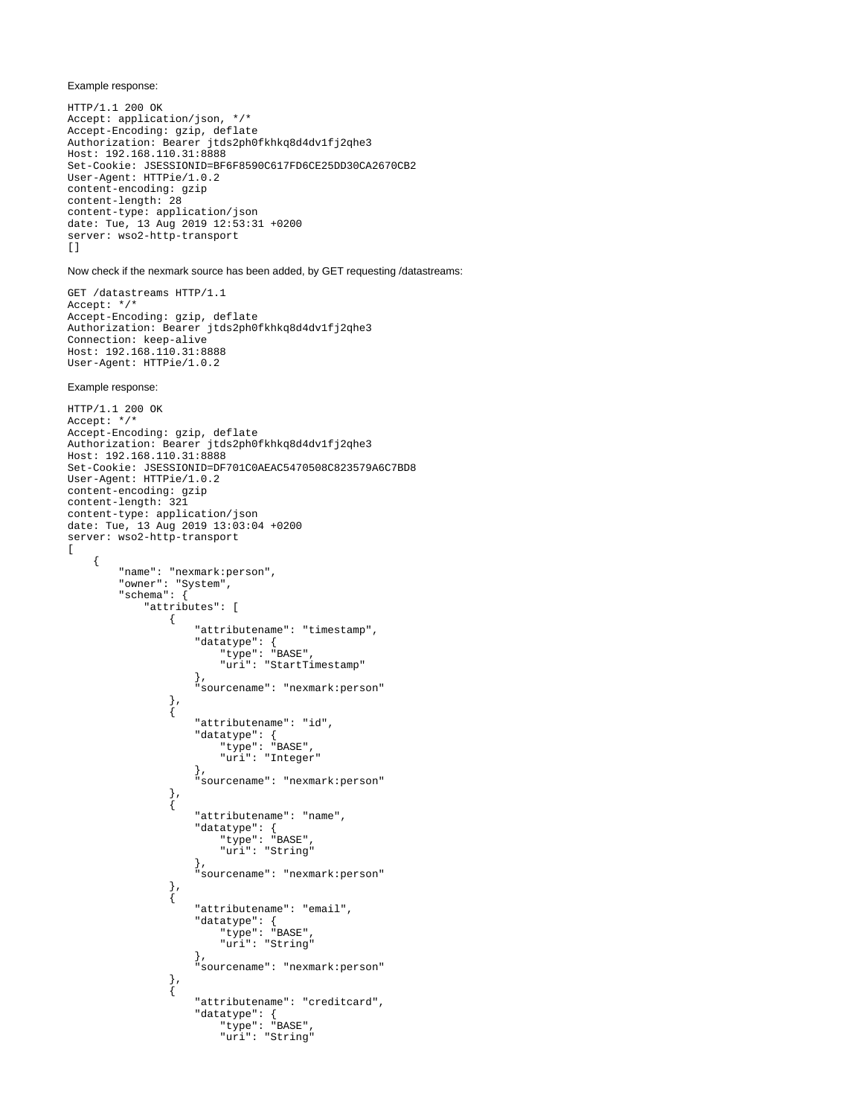#### Example response:

HTTP/1.1 200 OK Accept: application/json, \*/\* Accept-Encoding: gzip, deflate Authorization: Bearer jtds2ph0fkhkq8d4dv1fj2qhe3 Host: 192.168.110.31:8888 Set-Cookie: JSESSIONID=BF6F8590C617FD6CE25DD30CA2670CB2 User-Agent: HTTPie/1.0.2 content-encoding: gzip content-length: 28 content-type: application/json date: Tue, 13 Aug 2019 12:53:31 +0200 server: wso2-http-transport  $[$ 

### Now check if the nexmark source has been added, by GET requesting /datastreams:

GET /datastreams HTTP/1.1 Accept: \*/\* Accept-Encoding: gzip, deflate Authorization: Bearer jtds2ph0fkhkq8d4dv1fj2qhe3 Connection: keep-alive Host: 192.168.110.31:8888 User-Agent: HTTPie/1.0.2

#### Example response:

```
HTTP/1.1 200 OK
Accept: */*
Accept-Encoding: gzip, deflate
Authorization: Bearer jtds2ph0fkhkq8d4dv1fj2qhe3
Host: 192.168.110.31:8888
Set-Cookie: JSESSIONID=DF701C0AEAC5470508C823579A6C7BD8
User-Agent: HTTPie/1.0.2
content-encoding: gzip
content-length: 321
content-type: application/json
date: Tue, 13 Aug 2019 13:03:04 +0200
server: wso2-http-transport
[
     {
        "name": "nexmark:person",
        "owner": "System",
        "schema": {
            "attributes": [
\{ "attributename": "timestamp",
 "datatype": {
 "type": "BASE",
                       "uri": "StartTimestamp"
, where \{ \} , we have the set of \{ \} ,
                    "sourcename": "nexmark:person"
               },
\{ "attributename": "id",
                   "datatype": {
                       "type": "BASE",
                  "uri": "Integer"<br>},
, where \{ \} , we have the set of \{ \} ,
                    "sourcename": "nexmark:person"
                },
\{ "attributename": "name",
 "datatype": {
 "type": "BASE",
                       "uri": "String"
, where \{ \} , we have the set of \{ \} ,
                    "sourcename": "nexmark:person"
                },
\{ "attributename": "email",
 "datatype": {
 "type": "BASE",
                       "uri": "String"
, where \{ \} , we have the set of \{ \} ,
                    "sourcename": "nexmark:person"
               },
\{ "attributename": "creditcard",
 "datatype": {
 "type": "BASE",
                       "uri": "String"
```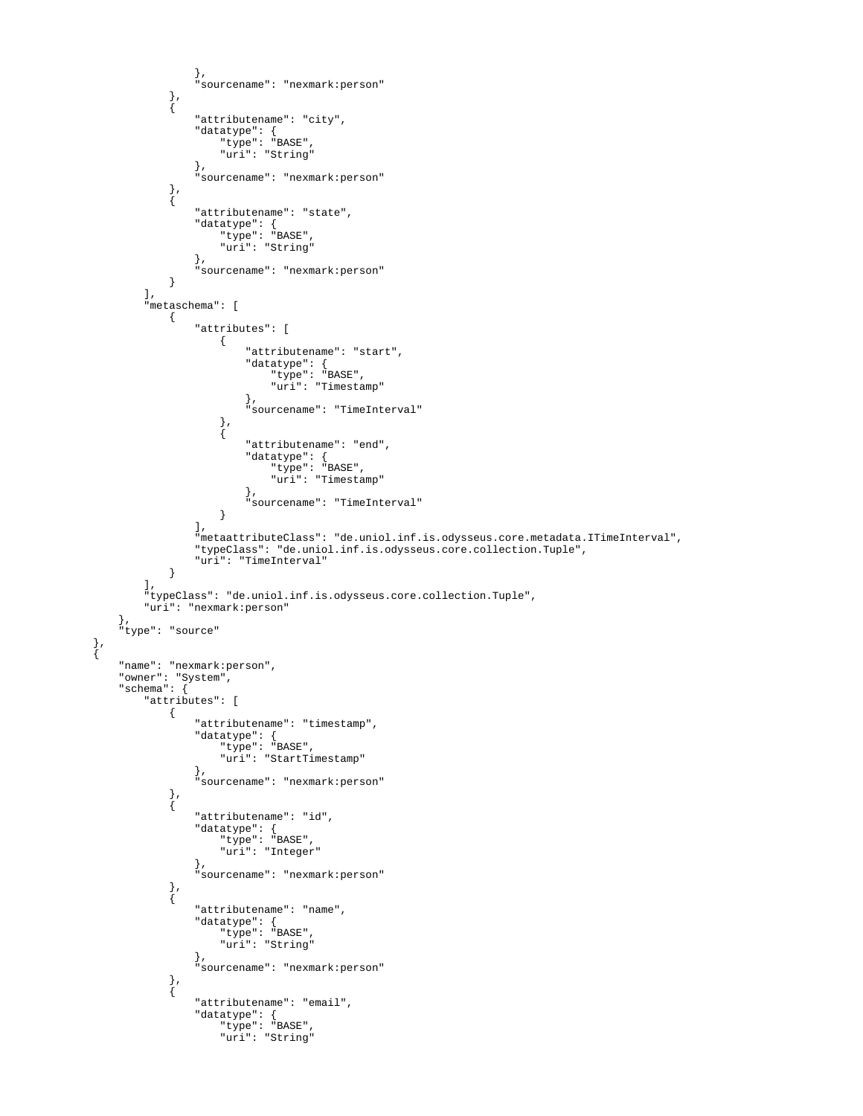```
, where \{ \} , we have the set of \{ \} ,
                "sourcename": "nexmark:person"
            },
\{ "attributename": "city",
 "datatype": {
 "type": "BASE",
                  "uri": "String"
, where \{ \} , we have the set of \{ \} ,
                "sourcename": "nexmark:person"
            },
\{ "attributename": "state",
 "datatype": {
 "type": "BASE",
                  "uri": "String"
, where \{ \} , we have the set of \{ \} ,
            "sourcename": "nexmark:person"
 }
         ],
          "metaschema": [
\{ "attributes": [
\{ "attributename": "start",
                     "datatype": {
 "type": "BASE",
 "uri": "Timestamp"
\}, \{ "sourcename": "TimeInterval"
, where \{ \} , we have the set of \{ \} ,
\{ "attributename": "end",
 "datatype": {
 "type": "BASE",
 "uri": "Timestamp"
\}, \{ "sourcename": "TimeInterval"
 }
 ],
                "metaattributeClass": "de.uniol.inf.is.odysseus.core.metadata.ITimeInterval",
               "typeClass": "de.uniol.inf.is.odysseus.core.collection.Tuple",
            "uri": "TimeInterval"
 }
         ],
         "typeClass": "de.uniol.inf.is.odysseus.core.collection.Tuple",
         "uri": "nexmark:person"
 },
 "type": "source"
 },
      "name": "nexmark:person",
      "owner": "System",
      "schema": {
         "attributes": [
\{ "attributename": "timestamp",
 "datatype": {
 "type": "BASE",
 "uri": "StartTimestamp"
, where \{ \} , we have the set of \{ \} ,
                "sourcename": "nexmark:person"
            },
\{ "attributename": "id",
 "datatype": {
 "type": "BASE",
 "uri": "Integer"
, where \{ \} , we have the set of \{ \} ,
                "sourcename": "nexmark:person"
            },
\{ "attributename": "name",
 "datatype": {
 "type": "BASE",
                  "uri": "String"
, where \{ \} , we have the set of \{ \} ,
                "sourcename": "nexmark:person"
            },
\{ "attributename": "email",
 "datatype": {
 "type": "BASE",
 "uri": "String"
```
 $\{$